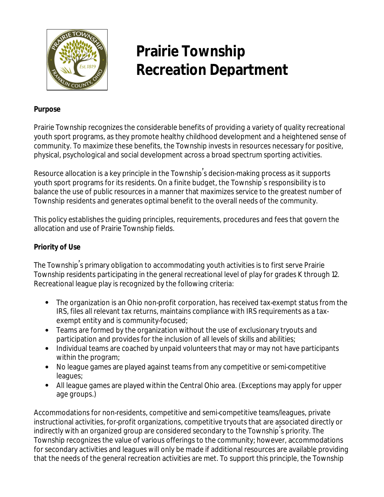

# **Prairie Township Recreation Department**

## **Purpose**

Prairie Township recognizes the considerable benefits of providing a variety of quality recreational youth sport programs, as they promote healthy childhood development and a heightened sense of community. To maximize these benefits, the Township invests in resources necessary for positive, physical, psychological and social development across a broad spectrum sporting activities.

Resource allocation is a key principle in the Township' s decision-making process as it supports youth sport programs for its residents. On a finite budget, the Township' s responsibility is to balance the use of public resources in a manner that maximizes service to the greatest number of Township residents and generates optimal benefit to the overall needs of the community.

This policy establishes the guiding principles, requirements, procedures and fees that govern the allocation and use of Prairie Township fields.

## **Priority of Use**

The Township' s primary obligation to accommodating youth activities is to first serve Prairie Township residents participating in the general recreational level of play for grades K through 12. Recreational league play is recognized by the following criteria:

- The organization is an Ohio non-profit corporation, has received tax-exempt status from the IRS, files all relevant tax returns, maintains compliance with IRS requirements as a taxexempt entity and is community-focused;
- Teams are formed by the organization without the use of exclusionary tryouts and participation and provides for the inclusion of all levels of skills and abilities;
- Individual teams are coached by unpaid volunteers that may or may not have participants within the program;
- No league games are played against teams from any competitive or semi-competitive leagues;
- All league games are played within the Central Ohio area. (Exceptions may apply for upper age groups.)

Accommodations for non-residents, competitive and semi-competitive teams/leagues, private instructional activities, for-profit organizations, competitive tryouts that are associated directly or indirectly with an organized group are considered secondary to the Township' s priority. The Township recognizes the value of various offerings to the community; however, accommodations for secondary activities and leagues will only be made if additional resources are available providing that the needs of the general recreation activities are met. To support this principle, the Township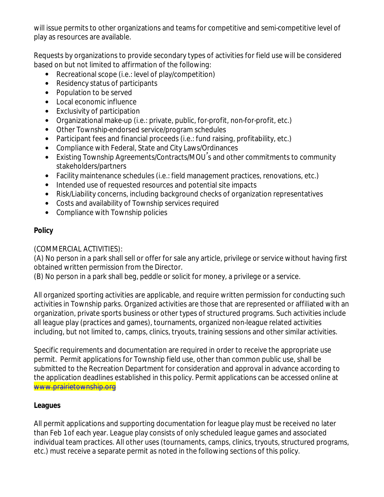will issue permits to other organizations and teams for competitive and semi-competitive level of play as resources are available.

Requests by organizations to provide secondary types of activities for field use will be considered based on but not limited to affirmation of the following:

- Recreational scope (i.e.: level of play/competition)
- Residency status of participants
- Population to be served
- Local economic influence
- Exclusivity of participation
- Organizational make-up (i.e.: private, public, for-profit, non-for-profit, etc.)
- Other Township-endorsed service/program schedules
- Participant fees and financial proceeds (i.e.: fund raising, profitability, etc.)
- Compliance with Federal, State and City Laws/Ordinances
- Existing Township Agreements/Contracts/MOU' s and other commitments to community stakeholders/partners
- Facility maintenance schedules (i.e.: field management practices, renovations, etc.)
- Intended use of requested resources and potential site impacts
- Risk/Liability concerns, including background checks of organization representatives
- Costs and availability of Township services required
- Compliance with Township policies

# **Policy**

(COMMERCIAL ACTIVITIES):

(A) No person in a park shall sell or offer for sale any article, privilege or service without having first obtained written permission from the Director.

(B) No person in a park shall beg, peddle or solicit for money, a privilege or a service.

All organized sporting activities are applicable, and require written permission for conducting such activities in Township parks. Organized activities are those that are represented or affiliated with an organization, private sports business or other types of structured programs. Such activities include all league play (practices and games), tournaments, organized non-league related activities including, but not limited to, camps, clinics, tryouts, training sessions and other similar activities.

Specific requirements and documentation are required in order to receive the appropriate use permit. Permit applications for Township field use, other than common public use, shall be submitted to the Recreation Department for consideration and approval in advance according to the application deadlines established in this policy. Permit applications can be accessed online at [www.prairietownship.org](http://www.prairietownship.org)

# **Leagues**

All permit applications and supporting documentation for league play must be received no later than Feb 1 of each year. League play consists of only scheduled league games and associated individual team practices. All other uses (tournaments, camps, clinics, tryouts, structured programs, etc.) must receive a separate permit as noted in the following sections of this policy.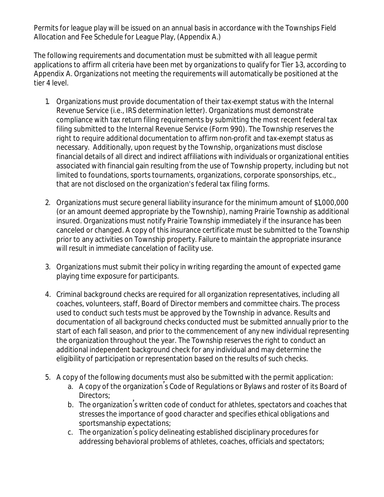Permits for league play will be issued on an annual basis in accordance with the Townships Field Allocation and Fee Schedule for League Play, (Appendix A.)

The following requirements and documentation must be submitted with all league permit applications to affirm all criteria have been met by organizations to qualify for Tier 1-3, according to Appendix A. Organizations not meeting the requirements will automatically be positioned at the tier 4 level.

- 1. Organizations must provide documentation of their tax-exempt status with the Internal Revenue Service (i.e., IRS determination letter). Organizations must demonstrate compliance with tax return filing requirements by submitting the most recent federal tax filing submitted to the Internal Revenue Service (Form 990). The Township reserves the right to require additional documentation to affirm non-profit and tax-exempt status as necessary. Additionally, upon request by the Township, organizations must disclose financial details of all direct and indirect affiliations with individuals or organizational entities associated with financial gain resulting from the use of Township property, including but not limited to foundations, sports tournaments, organizations, corporate sponsorships, etc., that are not disclosed on the organization's federal tax filing forms.
- 2. Organizations must secure general liability insurance for the minimum amount of \$1,000,000 (or an amount deemed appropriate by the Township), naming Prairie Township as additional insured. Organizations must notify Prairie Township immediately if the insurance has been canceled or changed. A copy of this insurance certificate must be submitted to the Township prior to any activities on Township property. Failure to maintain the appropriate insurance will result in immediate cancelation of facility use.
- 3. Organizations must submit their policy in writing regarding the amount of expected game playing time exposure for participants.
- 4. Criminal background checks are required for all organization representatives, including all coaches, volunteers, staff, Board of Director members and committee chairs. The process used to conduct such tests must be approved by the Township in advance. Results and documentation of all background checks conducted must be submitted annually prior to the start of each fall season, and prior to the commencement of any new individual representing the organization throughout the year. The Township reserves the right to conduct an additional independent background check for any individual and may determine the eligibility of participation or representation based on the results of such checks.
- 5. A copy of the following documents must also be submitted with the permit application:
	- a. A copy of the organization's Code of Regulations or Bylaws and roster of its Board of Directors;
	- b. The organization' s written code of conduct for athletes, spectators and coaches that stresses the importance of good character and specifies ethical obligations and sportsmanship expectations;
	- c. The organization' s policy delineating established disciplinary procedures for addressing behavioral problems of athletes, coaches, officials and spectators;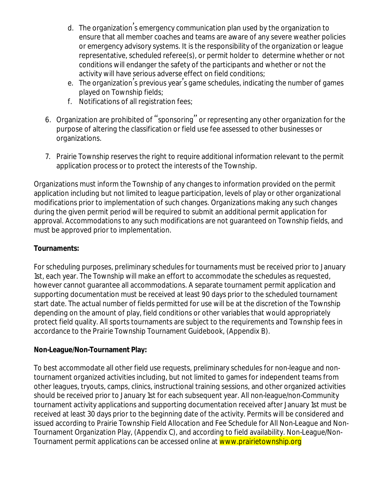- d. The organization' s emergency communication plan used by the organization to ensure that all member coaches and teams are aware of any severe weather policies or emergency advisory systems. It is the responsibility of the organization or league representative, scheduled referee(s), or permit holder to determine whether or not conditions will endanger the safety of the participants and whether or not the activity will have serious adverse effect on field conditions;
- e. The organization's previous year's game schedules, indicating the number of games played on Township fields;
- f. Notifications of all registration fees;
- 6. Organization are prohibited of "sponsoring" or representing any other organization for the purpose of altering the classification or field use fee assessed to other businesses or organizations.
- 7. Prairie Township reserves the right to require additional information relevant to the permit application process or to protect the interests of the Township.

Organizations must inform the Township of any changes to information provided on the permit application including but not limited to league participation, levels of play or other organizational modifications prior to implementation of such changes. Organizations making any such changes during the given permit period will be required to submit an additional permit application for approval. Accommodations to any such modifications are not guaranteed on Township fields, and must be approved prior to implementation.

## **Tournaments:**

For scheduling purposes, preliminary schedules for tournaments must be received prior to January 1st, each year. The Township will make an effort to accommodate the schedules as requested, however cannot guarantee all accommodations. A separate tournament permit application and supporting documentation must be received at least 90 days prior to the scheduled tournament start date. The actual number of fields permitted for use will be at the discretion of the Township depending on the amount of play, field conditions or other variables that would appropriately protect field quality. All sports tournaments are subject to the requirements and Township fees in accordance to the Prairie Township Tournament Guidebook, (Appendix B).

## **Non-League/Non-Tournament Play:**

To best accommodate all other field use requests, preliminary schedules for non-league and nontournament organized activities including, but not limited to games for independent teams from other leagues, tryouts, camps, clinics, instructional training sessions, and other organized activities should be received prior to January 1st for each subsequent year. All non-league/non-Community tournament activity applications and supporting documentation received after January 1st must be received at least 30 days prior to the beginning date of the activity. Permits will be considered and issued according to Prairie Township Field Allocation and Fee Schedule for All Non-League and Non-Tournament Organization Play, (Appendix C), and according to field availability. Non-League/Non-Tournament permit applications can be accessed online at www.prairietownship.org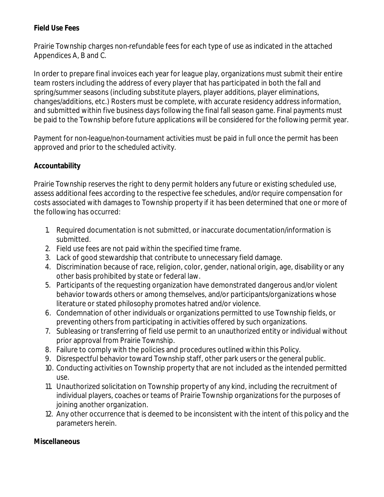# **Field Use Fees**

Prairie Township charges non-refundable fees for each type of use as indicated in the attached Appendices A, B and C.

In order to prepare final invoices each year for league play, organizations must submit their entire team rosters including the address of every player that has participated in both the fall and spring/summer seasons (including substitute players, player additions, player eliminations, changes/additions, etc.) Rosters must be complete, with accurate residency address information, and submitted within five business days following the final fall season game. Final payments must be paid to the Township before future applications will be considered for the following permit year.

Payment for non-league/non-tournament activities must be paid in full once the permit has been approved and prior to the scheduled activity.

# **Accountability**

Prairie Township reserves the right to deny permit holders any future or existing scheduled use, assess additional fees according to the respective fee schedules, and/or require compensation for costs associated with damages to Township property if it has been determined that one or more of the following has occurred:

- 1. Required documentation is not submitted, or inaccurate documentation/information is submitted.
- 2. Field use fees are not paid within the specified time frame.
- 3. Lack of good stewardship that contribute to unnecessary field damage.
- 4. Discrimination because of race, religion, color, gender, national origin, age, disability or any other basis prohibited by state or federal law.
- 5. Participants of the requesting organization have demonstrated dangerous and/or violent behavior towards others or among themselves, and/or participants/organizations whose literature or stated philosophy promotes hatred and/or violence.
- 6. Condemnation of other individuals or organizations permitted to use Township fields, or preventing others from participating in activities offered by such organizations.
- 7. Subleasing or transferring of field use permit to an unauthorized entity or individual without prior approval from Prairie Township.
- 8. Failure to comply with the policies and procedures outlined within this Policy.
- 9. Disrespectful behavior toward Township staff, other park users or the general public.
- 10. Conducting activities on Township property that are not included as the intended permitted use.
- 11. Unauthorized solicitation on Township property of any kind, including the recruitment of individual players, coaches or teams of Prairie Township organizations for the purposes of joining another organization.
- 12. Any other occurrence that is deemed to be inconsistent with the intent of this policy and the parameters herein.

# **Miscellaneous**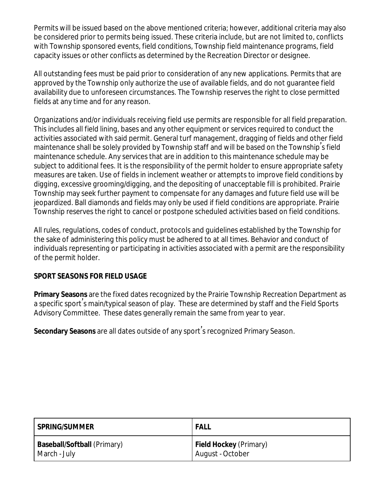Permits will be issued based on the above mentioned criteria; however, additional criteria may also be considered prior to permits being issued. These criteria include, but are not limited to, conflicts with Township sponsored events, field conditions, Township field maintenance programs, field capacity issues or other conflicts as determined by the Recreation Director or designee.

All outstanding fees must be paid prior to consideration of any new applications. Permits that are approved by the Township only authorize the use of available fields, and do not guarantee field availability due to unforeseen circumstances. The Township reserves the right to close permitted fields at any time and for any reason.

Organizations and/or individuals receiving field use permits are responsible for all field preparation. This includes all field lining, bases and any other equipment or services required to conduct the activities associated with said permit. General turf management, dragging of fields and other field maintenance shall be solely provided by Township staff and will be based on the Township' s field maintenance schedule. Any services that are in addition to this maintenance schedule may be subject to additional fees. It is the responsibility of the permit holder to ensure appropriate safety measures are taken. Use of fields in inclement weather or attempts to improve field conditions by digging, excessive grooming/digging, and the depositing of unacceptable fill is prohibited. Prairie Township may seek further payment to compensate for any damages and future field use will be jeopardized. Ball diamonds and fields may only be used if field conditions are appropriate. Prairie Township reserves the right to cancel or postpone scheduled activities based on field conditions.

All rules, regulations, codes of conduct, protocols and guidelines established by the Township for the sake of administering this policy must be adhered to at all times. Behavior and conduct of individuals representing or participating in activities associated with a permit are the responsibility of the permit holder.

# **SPORT SEASONS FOR FIELD USAGE**

**Primary Seasons** are the fixed dates recognized by the Prairie Township Recreation Department as a specific sport' s main/typical season of play. These are determined by staff and the Field Sports Advisory Committee. These dates generally remain the same from year to year.

**Secondary Seasons** are all dates outside of any sport' s recognized Primary Season.

| l SPRING/SUMMER                    | <b>FALL</b>                   |
|------------------------------------|-------------------------------|
| <b>Baseball/Softball</b> (Primary) | <b>Field Hockey</b> (Primary) |
| March - July                       | August - October              |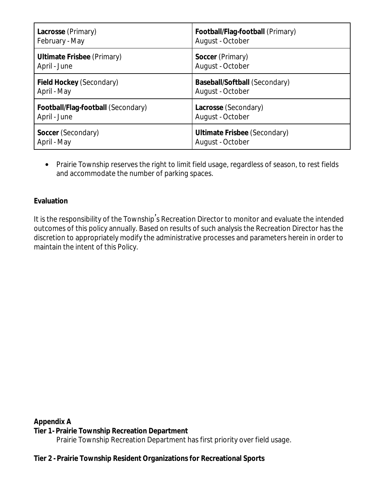| <b>Lacrosse</b> (Primary)          | Football/Flag-football (Primary)    |
|------------------------------------|-------------------------------------|
| February - May                     | August - October                    |
| <b>Ultimate Frisbee</b> (Primary)  | <b>Soccer</b> (Primary)             |
| April - June                       | August - October                    |
| <b>Field Hockey (Secondary)</b>    | Baseball/Softball (Secondary)       |
| April - May                        | August - October                    |
| Football/Flag-football (Secondary) | Lacrosse (Secondary)                |
| April - June                       | August - October                    |
| <b>Soccer</b> (Secondary)          | <b>Ultimate Frisbee (Secondary)</b> |
| April - May                        | August - October                    |

• Prairie Township reserves the right to limit field usage, regardless of season, to rest fields and accommodate the number of parking spaces.

## **Evaluation**

It is the responsibility of the Township's Recreation Director to monitor and evaluate the intended outcomes of this policy annually. Based on results of such analysis the Recreation Director has the discretion to appropriately modify the administrative processes and parameters herein in order to maintain the intent of this Policy.

**Appendix A**

#### **Tier 1 - Prairie Township Recreation Department**

Prairie Township Recreation Department has first priority over field usage.

#### **Tier 2 - Prairie Township Resident Organizations for Recreational Sports**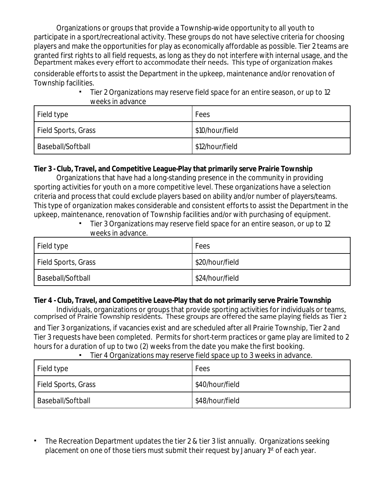Organizations or groups that provide a Township-wide opportunity to all youth to participate in a sport/recreational activity. These groups do not have selective criteria for choosing players and make the opportunities for play as economically affordable as possible. Tier 2 teams are granted first rights to all field requests, as long as they do not interfere with internal usage, and the Department makes every effort to accommodate their needs. This type of organization makes

considerable efforts to assist the Department in the upkeep, maintenance and/or renovation of Township facilities.

> Tier 2 Organizations may reserve field space for an entire season, or up to 12 weeks in advance

| Field type          | Fees            |
|---------------------|-----------------|
| Field Sports, Grass | \$10/hour/field |
| Baseball/Softball   | \$12/hour/field |

## **Tier 3 - Club, Travel, and Competitive League-Play that primarily serve Prairie Township**

Organizations that have had a long-standing presence in the community in providing sporting activities for youth on a more competitive level. These organizations have a selection criteria and process that could exclude players based on ability and/or number of players/teams. This type of organization makes considerable and consistent efforts to assist the Department in the upkeep, maintenance, renovation of Township facilities and/or with purchasing of equipment.

Tier 3 Organizations may reserve field space for an entire season, or up to 12 weeks in advance.

| Field type          | Fees            |
|---------------------|-----------------|
| Field Sports, Grass | \$20/hour/field |
| Baseball/Softball   | \$24/hour/field |

#### **Tier 4 - Club, Travel, and Competitive Leave-Play that do not primarily serve Prairie Township**

Individuals, organizations or groups that provide sporting activities for individuals or teams, comprised of Prairie Township residents. These groups are offered the same playing fields as Tier 2

and Tier 3 organizations, if vacancies exist and are scheduled after all Prairie Township, Tier 2 and Tier 3 requests have been completed. Permits for short-term practices or game play are limited to 2 hours for a duration of up to two (2) weeks from the date you make the first booking.

#### ▪ Tier 4 Organizations may reserve field space up to 3 weeks in advance.

| Field type          | Fees            |
|---------------------|-----------------|
| Field Sports, Grass | \$40/hour/field |
| Baseball/Softball   | \$48/hour/field |

The Recreation Department updates the tier 2 & tier 3 list annually. Organizations seeking placement on one of those tiers must submit their request by January 1<sup>st</sup> of each year.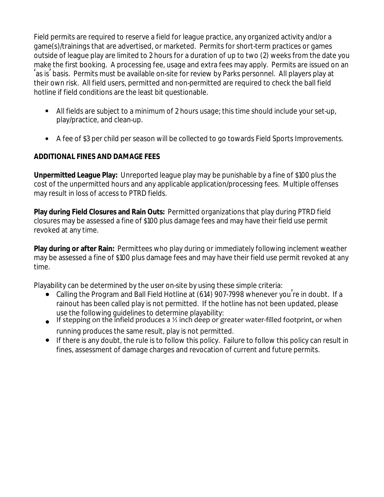Field permits are required to reserve a field for league practice, any organized activity and/or a game(s)/trainings that are advertised, or marketed. Permits for short-term practices or games outside of league play are limited to 2 hours for a duration of up to two (2) weeks from the date you make the first booking. A processing fee, usage and extra fees may apply. Permits are issued on an 'as is' basis. Permits must be available on-site for review by Parks personnel. All players play at their own risk. All field users, permitted and non-permitted are required to check the ball field hotline if field conditions are the least bit questionable.

- All fields are subject to a minimum of 2 hours usage; this time should include your set-up, play/practice, and clean-up.
- A fee of \$3 per child per season will be collected to go towards Field Sports Improvements.

# **ADDITIONAL FINES AND DAMAGE FEES**

**Unpermitted League Play:** Unreported league play may be punishable by a fine of \$100 plus the cost of the unpermitted hours and any applicable application/processing fees. Multiple offenses may result in loss of access to PTRD fields.

**Play during Field Closures and Rain Outs:** Permitted organizations that play during PTRD field closures may be assessed a fine of \$100 plus damage fees and may have their field use permit revoked at any time.

**Play during or after Rain:** Permittees who play during or immediately following inclement weather may be assessed a fine of \$100 plus damage fees and may have their field use permit revoked at any time.

Playability can be determined by the user on-site by using these simple criteria:

- Calling the Program and Ball Field Hotline at (614) 907-7998 whenever you're in doubt. If a rainout has been called play is not permitted. If the hotline has not been updated, please use the following guidelines to determine playability:
- **•** If stepping on the infield produces a  $\frac{1}{2}$  inch deep or greater water-filled footprint, or when running produces the same result, play is not permitted.
- If there is any doubt, the rule is to follow this policy. Failure to follow this policy can result in fines, assessment of damage charges and revocation of current and future permits.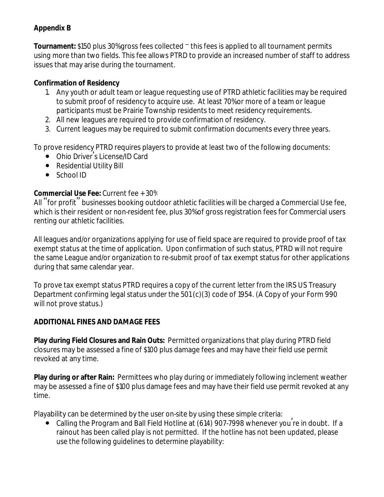# **Appendix B**

**Tournament:** \$150 plus 30% gross fees collected – this fees is applied to all tournament permits using more than two fields. This fee allows PTRD to provide an increased number of staff to address issues that may arise during the tournament.

## **Confirmation of Residency**

- 1. Any youth or adult team or league requesting use of PTRD athletic facilities may be required to submit proof of residency to acquire use. At least 70% or more of a team or league participants must be Prairie Township residents to meet residency requirements.
- 2. All new leagues are required to provide confirmation of residency.
- 3. Current leagues may be required to submit confirmation documents every three years.

To prove residency PTRD requires players to provide at least two of the following documents:

- Ohio Driver' s License/ID Card
- Residential Utility Bill
- School ID

## **Commercial Use Fee:** Current fee + 30%

All "for profit" businesses booking outdoor athletic facilities will be charged a Commercial Use fee, which is their resident or non-resident fee, plus 30% of gross registration fees for Commercial users renting our athletic facilities.

All leagues and/or organizations applying for use of field space are required to provide proof of tax exempt status at the time of application. Upon confirmation of such status, PTRD will not require the same League and/or organization to re-submit proof of tax exempt status for other applications during that same calendar year.

To prove tax exempt status PTRD requires a copy of the current letter from the IRS US Treasury Department confirming legal status under the 501 (c)(3) code of 1954. (A Copy of your Form 990 will not prove status.)

# **ADDITIONAL FINES AND DAMAGE FEES**

**Play during Field Closures and Rain Outs:** Permitted organizations that play during PTRD field closures may be assessed a fine of \$100 plus damage fees and may have their field use permit revoked at any time.

**Play during or after Rain:** Permittees who play during or immediately following inclement weather may be assessed a fine of \$100 plus damage fees and may have their field use permit revoked at any time.

Playability can be determined by the user on-site by using these simple criteria:

● Calling the Program and Ball Field Hotline at (614) 907-7998 whenever you're in doubt. If a rainout has been called play is not permitted. If the hotline has not been updated, please use the following guidelines to determine playability: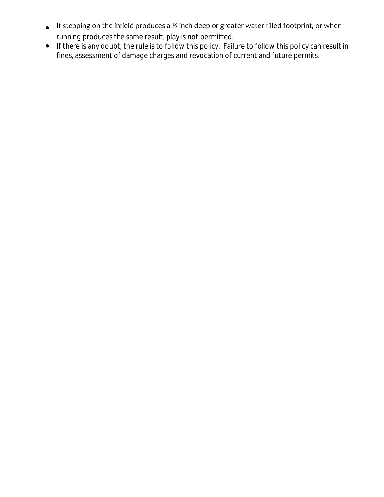- $\bullet$  If stepping on the infield produces a  $\%$  inch deep or greater water-filled footprint, or when running produces the same result, play is not permitted.
- If there is any doubt, the rule is to follow this policy. Failure to follow this policy can result in fines, assessment of damage charges and revocation of current and future permits.